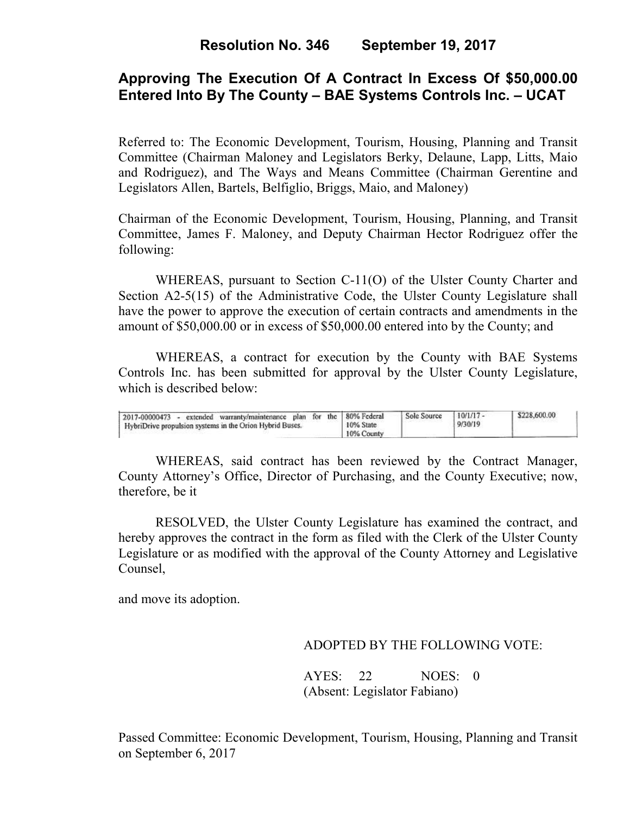# **Approving The Execution Of A Contract In Excess Of \$50,000.00 Entered Into By The County – BAE Systems Controls Inc. – UCAT**

Referred to: The Economic Development, Tourism, Housing, Planning and Transit Committee (Chairman Maloney and Legislators Berky, Delaune, Lapp, Litts, Maio and Rodriguez), and The Ways and Means Committee (Chairman Gerentine and Legislators Allen, Bartels, Belfiglio, Briggs, Maio, and Maloney)

Chairman of the Economic Development, Tourism, Housing, Planning, and Transit Committee, James F. Maloney, and Deputy Chairman Hector Rodriguez offer the following:

WHEREAS, pursuant to Section C-11(O) of the Ulster County Charter and Section A2-5(15) of the Administrative Code, the Ulster County Legislature shall have the power to approve the execution of certain contracts and amendments in the amount of \$50,000.00 or in excess of \$50,000.00 entered into by the County; and

WHEREAS, a contract for execution by the County with BAE Systems Controls Inc. has been submitted for approval by the Ulster County Legislature, which is described below:

| 2017-00000473 - extended warranty/maintenance plan for the 80% Federal<br>HybriDrive propulsion systems in the Orion Hybrid Buses. | 10% State  | Sole Source | $10/1/17$ -<br>9/30/19 | \$228,600.00 |
|------------------------------------------------------------------------------------------------------------------------------------|------------|-------------|------------------------|--------------|
|                                                                                                                                    | 10% County |             |                        |              |

WHEREAS, said contract has been reviewed by the Contract Manager, County Attorney's Office, Director of Purchasing, and the County Executive; now, therefore, be it

RESOLVED, the Ulster County Legislature has examined the contract, and hereby approves the contract in the form as filed with the Clerk of the Ulster County Legislature or as modified with the approval of the County Attorney and Legislative Counsel,

and move its adoption.

### ADOPTED BY THE FOLLOWING VOTE:

AYES: 22 NOES: 0 (Absent: Legislator Fabiano)

Passed Committee: Economic Development, Tourism, Housing, Planning and Transit on September 6, 2017